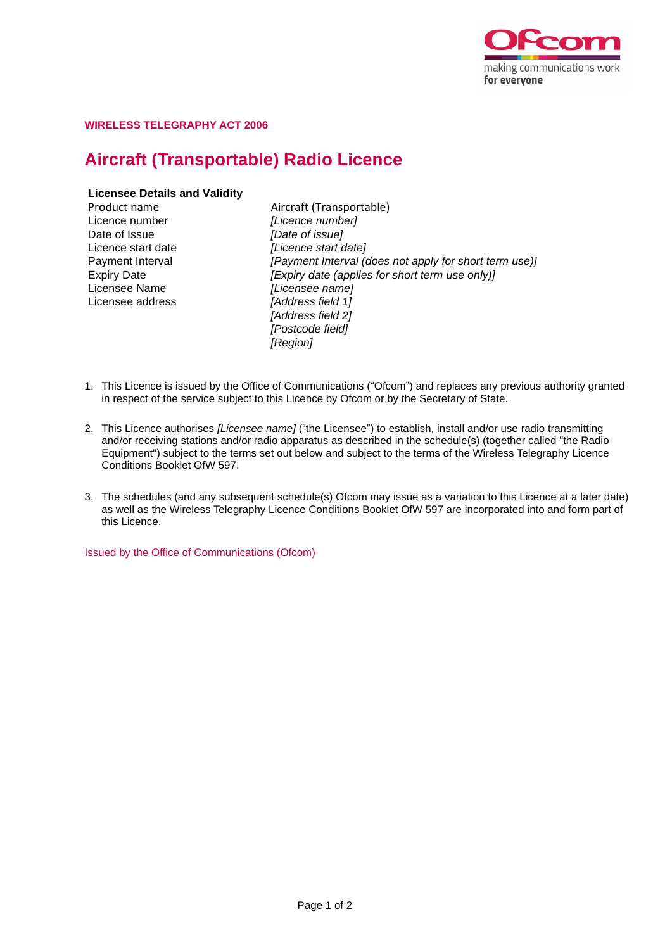

## **WIRELESS TELEGRAPHY ACT 2006**

# **Aircraft (Transportable) Radio Licence**

## **Licensee Details and Validity**

Licence number *[Licence number]* Date of Issue *[Date of issue]* Licensee Name *[Licensee name]* Licensee address *[Address field 1]*

Product name Aircraft (Transportable) Licence start date *[Licence start date]* Payment Interval *[Payment Interval (does not apply for short term use)]* Expiry Date *[Expiry date (applies for short term use only)] [Address field 2] [Postcode field] [Region]*

- 1. This Licence is issued by the Office of Communications ("Ofcom") and replaces any previous authority granted in respect of the service subject to this Licence by Ofcom or by the Secretary of State.
- 2. This Licence authorises *[Licensee name]* ("the Licensee") to establish, install and/or use radio transmitting and/or receiving stations and/or radio apparatus as described in the schedule(s) (together called "the Radio Equipment") subject to the terms set out below and subject to the terms of the Wireless Telegraphy Licence Conditions Booklet OfW 597.
- 3. The schedules (and any subsequent schedule(s) Ofcom may issue as a variation to this Licence at a later date) as well as the Wireless Telegraphy Licence Conditions Booklet OfW 597 are incorporated into and form part of this Licence.

Issued by the Office of Communications (Ofcom)